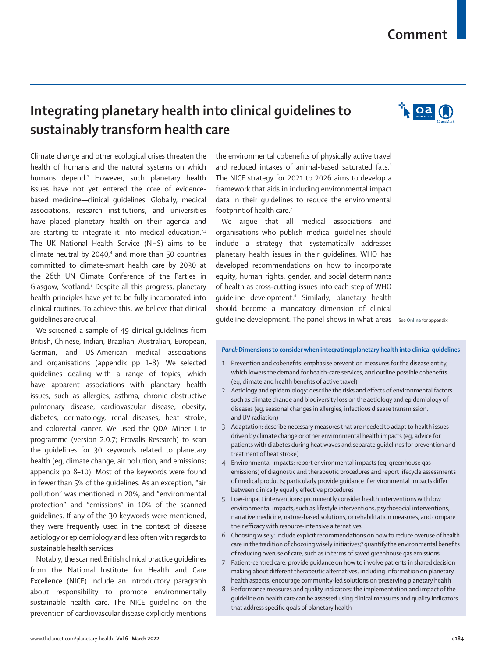# **Comment**

# **Integrating planetary health into clinical guidelines to sustainably transform health care**

Climate change and other ecological crises threaten the health of humans and the natural systems on which humans depend.<sup>1</sup> However, such planetary health issues have not yet entered the core of evidencebased medicine—clinical guidelines. Globally, medical associations, research institutions, and universities have placed planetary health on their agenda and are starting to integrate it into medical education.<sup>2,3</sup> The UK National Health Service (NHS) aims to be climate neutral by 2040,<sup>4</sup> and more than 50 countries committed to climate-smart health care by 2030 at the 26th UN Climate Conference of the Parties in Glasgow, Scotland.<sup>5</sup> Despite all this progress, planetary health principles have yet to be fully incorporated into clinical routines. To achieve this, we believe that clinical guidelines are crucial.

We screened a sample of 49 clinical guidelines from British, Chinese, Indian, Brazilian, Australian, European, German, and US-American medical associations and organisations (appendix pp 1–8). We selected guidelines dealing with a range of topics, which have apparent associations with planetary health issues, such as allergies, asthma, chronic obstructive pulmonary disease, cardiovascular disease, obesity, diabetes, dermatology, renal diseases, heat stroke, and colorectal cancer. We used the QDA Miner Lite programme (version 2.0.7; Provalis Research) to scan the guidelines for 30 keywords related to planetary health (eg, climate change, air pollution, and emissions; appendix pp 8–10). Most of the keywords were found in fewer than 5% of the guidelines. As an exception, "air pollution" was mentioned in 20%, and "environmental protection" and "emissions" in 10% of the scanned guidelines. If any of the 30 keywords were mentioned, they were frequently used in the context of disease aetiology or epidemiology and less often with regards to sustainable health services.

Notably, the scanned British clinical practice guidelines from the National Institute for Health and Care Excellence (NICE) include an introductory paragraph about responsibility to promote environmentally sustainable health care. The NICE guideline on the prevention of cardiovascular disease explicitly mentions the environmental cobenefits of physically active travel and reduced intakes of animal-based saturated fats.<sup>6</sup> The NICE strategy for 2021 to 2026 aims to develop a framework that aids in including environmental impact data in their guidelines to reduce the environmental footprint of health care.<sup>7</sup>

We argue that all medical associations and organisations who publish medical guidelines should include a strategy that systematically addresses planetary health issues in their guidelines. WHO has developed recommendations on how to incorporate equity, human rights, gender, and social determinants of health as cross-cutting issues into each step of WHO guideline development.<sup>8</sup> Similarly, planetary health should become a mandatory dimension of clinical guideline development. The panel shows in what areas See **Online** for appendix

#### *Panel:* **Dimensions to consider when integrating planetary health into clinical guidelines**

- 1 Prevention and cobenefits: emphasise prevention measures for the disease entity, which lowers the demand for health-care services, and outline possible cobenefits (eg, climate and health benefits of active travel)
- 2 Aetiology and epidemiology: describe the risks and effects of environmental factors such as climate change and biodiversity loss on the aetiology and epidemiology of diseases (eg, seasonal changes in allergies, infectious disease transmission, and UV radiation)
- 3 Adaptation: describe necessary measures that are needed to adapt to health issues driven by climate change or other environmental health impacts (eg, advice for patients with diabetes during heat waves and separate guidelines for prevention and treatment of heat stroke)
- 4 Environmental impacts: report environmental impacts (eg, greenhouse gas emissions) of diagnostic and therapeutic procedures and report lifecycle assessments of medical products; particularly provide guidance if environmental impacts differ between clinically equally effective procedures
- 5 Low-impact interventions: prominently consider health interventions with low environmental impacts, such as lifestyle interventions, psychosocial interventions, narrative medicine, nature-based solutions, or rehabilitation measures, and compare their efficacy with resource-intensive alternatives
- 6 Choosing wisely: include explicit recommendations on how to reduce overuse of health care in the tradition of choosing wisely initiatives;<sup>9</sup> quantify the environmental benefits of reducing overuse of care, such as in terms of saved greenhouse gas emissions
- 7 Patient-centred care: provide guidance on how to involve patients in shared decision making about different therapeutic alternatives, including information on planetary health aspects; encourage community-led solutions on preserving planetary health
- 8 Performance measures and quality indicators: the implementation and impact of the guideline on health care can be assessed using clinical measures and quality indicators that address specific goals of planetary health